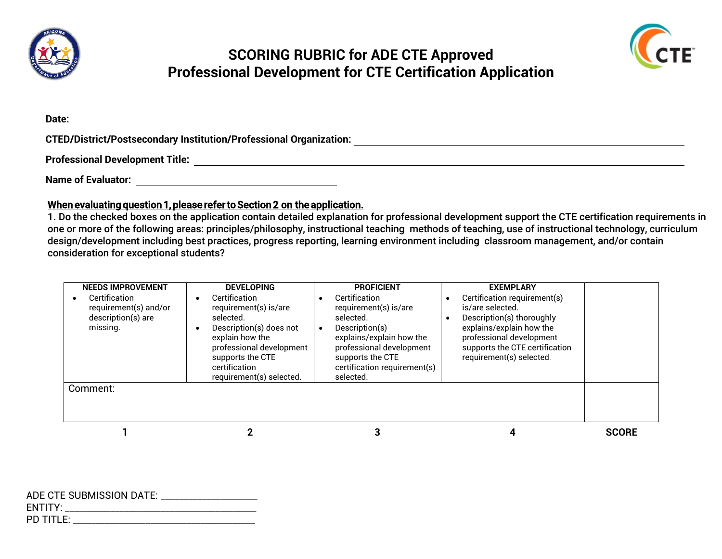

## **SCORING RUBRIC for ADE CTE Approved Professional Development for CTE Certification Application**



**Date:**

**CTED/District/Postsecondary Institution/Professional Organization:**

**Professional Development Title:**

**Name of Evaluator:** 

## When evaluating question 1, please refer to Section 2 on the application.

1. Do the checked boxes on the application contain detailed explanation for professional development support the CTE certification requirements in one or more of the following areas: principles/philosophy, instructional teaching methods of teaching, use of instructional technology, curriculum design/development including best practices, progress reporting, learning environment including classroom management, and/or contain consideration for exceptional students?

| <b>NEEDS IMPROVEMENT</b><br>Certification<br>requirement(s) and/or<br>description(s) are<br>missing.<br>Comment: | <b>DEVELOPING</b><br>Certification<br>requirement(s) is/are<br>selected.<br>Description(s) does not<br>explain how the<br>professional development<br>supports the CTE<br>certification<br>requirement(s) selected. | <b>PROFICIENT</b><br>Certification<br>requirement(s) is/are<br>selected.<br>Description(s)<br>$\bullet$<br>explains/explain how the<br>professional development<br>supports the CTE<br>certification requirement(s)<br>selected. | <b>EXEMPLARY</b><br>Certification requirement(s)<br>is/are selected.<br>Description(s) thoroughly<br>explains/explain how the<br>professional development<br>supports the CTE certification<br>requirement(s) selected. |              |
|------------------------------------------------------------------------------------------------------------------|---------------------------------------------------------------------------------------------------------------------------------------------------------------------------------------------------------------------|----------------------------------------------------------------------------------------------------------------------------------------------------------------------------------------------------------------------------------|-------------------------------------------------------------------------------------------------------------------------------------------------------------------------------------------------------------------------|--------------|
|                                                                                                                  |                                                                                                                                                                                                                     |                                                                                                                                                                                                                                  |                                                                                                                                                                                                                         | <b>SCORE</b> |

| ENTITY: __________________________ |
|------------------------------------|
| ${\sf PD}$ title: ___              |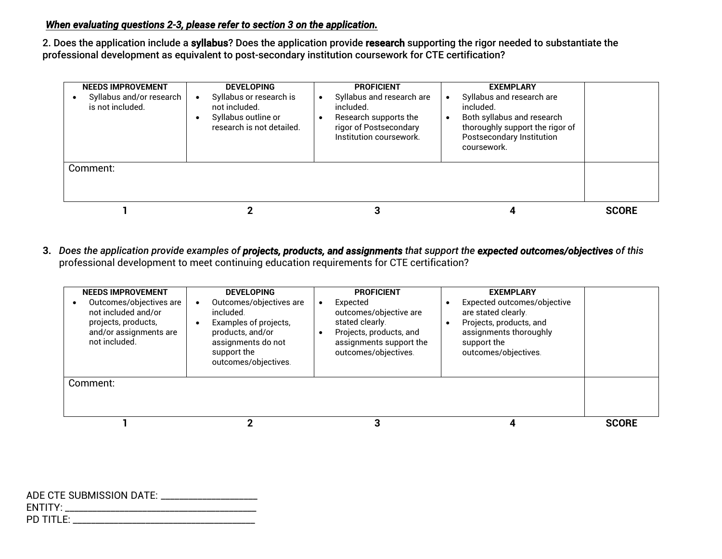## *When evaluating questions 2-3, please refer to section 3 on the application.*

2. Does the application include a syllabus? Does the application provide research supporting the rigor needed to substantiate the professional development as equivalent to post-secondary institution coursework for CTE certification?

| <b>NEEDS IMPROVEMENT</b><br>Syllabus and/or research<br>is not included. | <b>DEVELOPING</b><br>Syllabus or research is<br>not included.<br>Syllabus outline or<br>research is not detailed. | <b>PROFICIENT</b><br>Syllabus and research are<br>$\bullet$<br>included.<br>Research supports the<br>rigor of Postsecondary<br>Institution coursework. | <b>EXEMPLARY</b><br>Syllabus and research are<br>included.<br>Both syllabus and research<br>thoroughly support the rigor of<br>Postsecondary Institution<br>coursework. |              |
|--------------------------------------------------------------------------|-------------------------------------------------------------------------------------------------------------------|--------------------------------------------------------------------------------------------------------------------------------------------------------|-------------------------------------------------------------------------------------------------------------------------------------------------------------------------|--------------|
| Comment:                                                                 |                                                                                                                   |                                                                                                                                                        |                                                                                                                                                                         |              |
|                                                                          |                                                                                                                   |                                                                                                                                                        |                                                                                                                                                                         | <b>SCORE</b> |

**3.** *Does the application provide examples of projects, products, and assignments that support the expected outcomes/objectives of this* professional development to meet continuing education requirements for CTE certification?

| <b>NEEDS IMPROVEMENT</b><br>Outcomes/objectives are<br>not included and/or<br>projects, products,<br>and/or assignments are<br>not included. | <b>DEVELOPING</b><br>Outcomes/objectives are<br>included<br>Examples of projects,<br>products, and/or<br>assignments do not<br>support the<br>outcomes/objectives. | <b>PROFICIENT</b><br>Expected<br>outcomes/objective are<br>stated clearly.<br>Projects, products, and<br>assignments support the<br>outcomes/objectives. | <b>EXEMPLARY</b><br>Expected outcomes/objective<br>are stated clearly.<br>Projects, products, and<br>assignments thoroughly<br>support the<br>outcomes/objectives. |              |
|----------------------------------------------------------------------------------------------------------------------------------------------|--------------------------------------------------------------------------------------------------------------------------------------------------------------------|----------------------------------------------------------------------------------------------------------------------------------------------------------|--------------------------------------------------------------------------------------------------------------------------------------------------------------------|--------------|
| Comment:                                                                                                                                     |                                                                                                                                                                    |                                                                                                                                                          |                                                                                                                                                                    |              |
|                                                                                                                                              |                                                                                                                                                                    |                                                                                                                                                          |                                                                                                                                                                    | <b>SCORE</b> |

| ADE CTE SUBMISSION DATE: ____________________ |
|-----------------------------------------------|
|                                               |
| ${\sf PD}$ title: $\rule{1em}{0.15mm}$        |